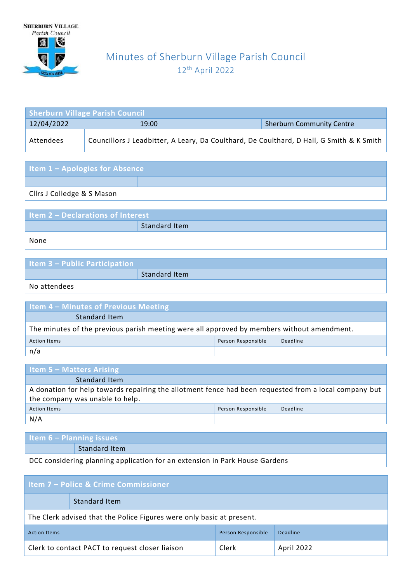

## Minutes of Sherburn Village Parish Council 12th April 2022

| <b>Sherburn Village Parish Council</b> |  |                                                                                          |                                  |  |
|----------------------------------------|--|------------------------------------------------------------------------------------------|----------------------------------|--|
| 12/04/2022                             |  | 19:00                                                                                    | <b>Sherburn Community Centre</b> |  |
| Attendees                              |  | Councillors J Leadbitter, A Leary, Da Coulthard, De Coulthard, D Hall, G Smith & K Smith |                                  |  |

| <b>Item 1 - Apologies for Absence</b> |  |  |  |
|---------------------------------------|--|--|--|
|                                       |  |  |  |
| Clirs J Colledge & S Mason            |  |  |  |

| Item 2 - Declarations of Interest |               |  |
|-----------------------------------|---------------|--|
|                                   | Standard Item |  |
| None                              |               |  |

| Item $3$ – Public Participation |               |
|---------------------------------|---------------|
|                                 | Standard Item |
|                                 |               |

No attendees

| <b>Item 4 - Minutes of Previous Meeting</b>                                                |               |  |  |
|--------------------------------------------------------------------------------------------|---------------|--|--|
|                                                                                            | Standard Item |  |  |
| The minutes of the previous parish meeting were all approved by members without amendment. |               |  |  |
| Person Responsible<br>Deadline<br><b>Action Items</b>                                      |               |  |  |
| n/a                                                                                        |               |  |  |

| <b>Item 5 – Matters Arising</b>                                                                       |  |  |  |
|-------------------------------------------------------------------------------------------------------|--|--|--|
| Standard Item                                                                                         |  |  |  |
| A donation for help towards repairing the allotment fence had been requested from a local company but |  |  |  |
| the company was unable to help.                                                                       |  |  |  |
| Deadline<br>Person Responsible<br><b>Action Items</b>                                                 |  |  |  |
| N/A                                                                                                   |  |  |  |

| Item $6 -$ Planning issues                                                  |                      |  |
|-----------------------------------------------------------------------------|----------------------|--|
|                                                                             | <b>Standard Item</b> |  |
| DCC considering planning application for an extension in Park House Gardens |                      |  |

| <b>Item 7 – Police &amp; Crime Commissioner</b>                       |                                                 |       |            |
|-----------------------------------------------------------------------|-------------------------------------------------|-------|------------|
|                                                                       | <b>Standard Item</b>                            |       |            |
| The Clerk advised that the Police Figures were only basic at present. |                                                 |       |            |
| Person Responsible<br>Deadline<br><b>Action Items</b>                 |                                                 |       |            |
|                                                                       | Clerk to contact PACT to request closer liaison | Clerk | April 2022 |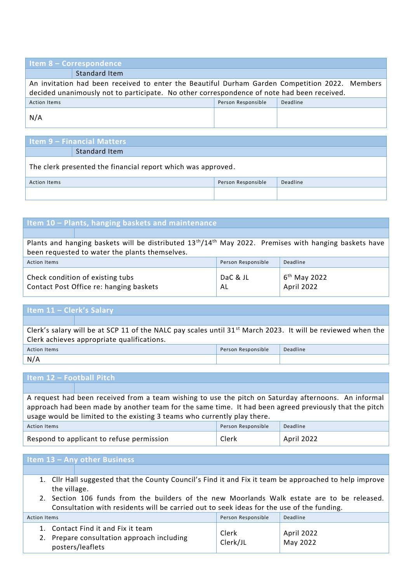| <b>Item 8 - Correspondence</b>                                                                 |                    |          |  |  |
|------------------------------------------------------------------------------------------------|--------------------|----------|--|--|
| Standard Item                                                                                  |                    |          |  |  |
| An invitation had been received to enter the Beautiful Durham Garden Competition 2022. Members |                    |          |  |  |
| decided unanimously not to participate. No other correspondence of note had been received.     |                    |          |  |  |
| <b>Action Items</b>                                                                            | Person Responsible | Deadline |  |  |
| N/A                                                                                            |                    |          |  |  |
|                                                                                                |                    |          |  |  |
| <b>Item 9 - Financial Matters</b>                                                              |                    |          |  |  |

| <b>Standard Item</b>                                         |  |                    |          |
|--------------------------------------------------------------|--|--------------------|----------|
| The clerk presented the financial report which was approved. |  |                    |          |
| <b>Action Items</b>                                          |  | Person Responsible | Deadline |
|                                                              |  |                    |          |

| Item 10 - Plants, hanging baskets and maintenance                                                       |                |                              |  |  |
|---------------------------------------------------------------------------------------------------------|----------------|------------------------------|--|--|
|                                                                                                         |                |                              |  |  |
| Plants and hanging baskets will be distributed $13th/14th$ May 2022. Premises with hanging baskets have |                |                              |  |  |
| been requested to water the plants themselves.                                                          |                |                              |  |  |
| Deadline<br>Person Responsible<br><b>Action Items</b>                                                   |                |                              |  |  |
| Check condition of existing tubs<br>Contact Post Office re: hanging baskets                             | DaC & JL<br>AL | $6th$ May 2022<br>April 2022 |  |  |

## **Item 11 – Clerk's Salary**

| Action Items          | Person<br>Responsible | Deadline |
|-----------------------|-----------------------|----------|
| N/<br>$\cdot$ $\cdot$ |                       |          |

## **Item 12 – Football Pitch**

A request had been received from a team wishing to use the pitch on Saturday afternoons. An informal approach had been made by another team for the same time. It had been agreed previously that the pitch usage would be limited to the existing 3 teams who currently play there. Action Items Person Responsible Deadline

| Respond to applicant to refuse permission |  |
|-------------------------------------------|--|
|                                           |  |

## **Item 13 – Any other Business**

- 1. Cllr Hall suggested that the County Council's Find it and Fix it team be approached to help improve the village.
- 2. Section 106 funds from the builders of the new Moorlands Walk estate are to be released. Consultation with residents will be carried out to seek ideas for the use of the funding.

| Action Items                                                                                         | Person Responsible | Deadline               |
|------------------------------------------------------------------------------------------------------|--------------------|------------------------|
| 1. Contact Find it and Fix it team<br>2. Prepare consultation approach including<br>posters/leaflets | Clerk<br>Clerk/JL  | April 2022<br>May 2022 |